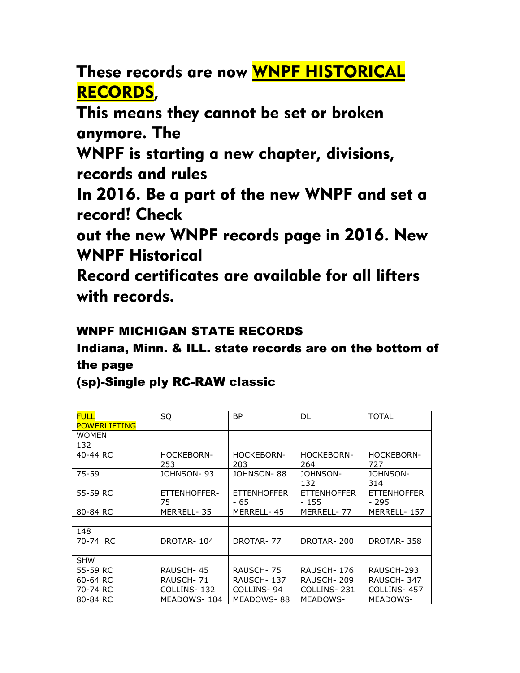These records are now WNPF HISTORICAL RECORDS,

This means they cannot be set or broken anymore. The

WNPF is starting a new chapter, divisions, records and rules

In 2016. Be a part of the new WNPF and set a record! Check

out the new WNPF records page in 2016. New WNPF Historical

Record certificates are available for all lifters with records.

## WNPF MICHIGAN STATE RECORDS

Indiana, Minn. & ILL. state records are on the bottom of the page

(sp)-Single ply RC-RAW classic

| <b>FULL</b><br><b>POWERLIFTING</b> | SQ                       | <b>BP</b>                  | DL.                          | <b>TOTAL</b>                |
|------------------------------------|--------------------------|----------------------------|------------------------------|-----------------------------|
| <b>WOMEN</b>                       |                          |                            |                              |                             |
| 132                                |                          |                            |                              |                             |
| 40-44 RC                           | <b>HOCKEBORN-</b><br>253 | <b>HOCKEBORN-</b><br>203   | <b>HOCKEBORN-</b><br>264     | <b>HOCKEBORN-</b><br>727    |
| 75-59                              | JOHNSON-93               | JOHNSON-88                 | JOHNSON-<br>132              | JOHNSON-<br>314             |
| 55-59 RC                           | ETTENHOFFER-<br>75       | <b>ETTENHOFFER</b><br>- 65 | <b>ETTENHOFFER</b><br>$-155$ | <b>ETTENHOFFER</b><br>- 295 |
| 80-84 RC                           | MERRELL-35               | MERRELL-45                 | MERRELL-77                   | MERRELL-157                 |
|                                    |                          |                            |                              |                             |
| 148                                |                          |                            |                              |                             |
| 70-74 RC                           | DROTAR-104               | DROTAR-77                  | DROTAR-200                   | DROTAR-358                  |
|                                    |                          |                            |                              |                             |
| <b>SHW</b>                         |                          |                            |                              |                             |
| 55-59 RC                           | RAUSCH-45                | RAUSCH-75                  | RAUSCH-176                   | RAUSCH-293                  |
| 60-64 RC                           | RAUSCH- 71               | RAUSCH-137                 | RAUSCH-209                   | RAUSCH-347                  |
| 70-74 RC                           | COLLINS- 132             | COLLINS-94                 | COLLINS-231                  | COLLINS-457                 |
| 80-84 RC                           | MEADOWS-104              | MEADOWS-88                 | MEADOWS-                     | <b>MEADOWS-</b>             |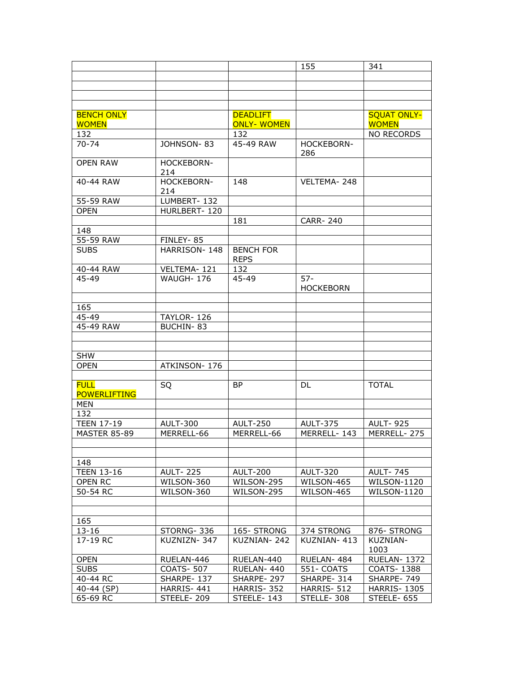|                                    |                          |                                      | 155                        | 341                                |
|------------------------------------|--------------------------|--------------------------------------|----------------------------|------------------------------------|
|                                    |                          |                                      |                            |                                    |
|                                    |                          |                                      |                            |                                    |
|                                    |                          |                                      |                            |                                    |
|                                    |                          |                                      |                            |                                    |
| <b>BENCH ONLY</b><br><b>WOMEN</b>  |                          | <b>DEADLIFT</b><br><b>ONLY-WOMEN</b> |                            | <b>SQUAT ONLY-</b><br><b>WOMEN</b> |
| 132                                |                          | 132                                  |                            | <b>NO RECORDS</b>                  |
| $70 - 74$                          | JOHNSON-83               | 45-49 RAW                            | <b>HOCKEBORN-</b><br>286   |                                    |
| <b>OPEN RAW</b>                    | HOCKEBORN-<br>214        |                                      |                            |                                    |
| 40-44 RAW                          | <b>HOCKEBORN-</b><br>214 | 148                                  | VELTEMA-248                |                                    |
| 55-59 RAW                          | LUMBERT-132              |                                      |                            |                                    |
| <b>OPEN</b>                        | HURLBERT-120             |                                      |                            |                                    |
|                                    |                          | 181                                  | <b>CARR-240</b>            |                                    |
| 148                                |                          |                                      |                            |                                    |
| 55-59 RAW                          | FINLEY-85                |                                      |                            |                                    |
| <b>SUBS</b>                        | HARRISON-148             | <b>BENCH FOR</b><br><b>REPS</b>      |                            |                                    |
| 40-44 RAW                          | VELTEMA-121              | 132                                  |                            |                                    |
| 45-49                              | <b>WAUGH-176</b>         | 45-49                                | $57 -$<br><b>HOCKEBORN</b> |                                    |
|                                    |                          |                                      |                            |                                    |
| 165                                |                          |                                      |                            |                                    |
| 45-49                              | TAYLOR-126               |                                      |                            |                                    |
| 45-49 RAW                          | <b>BUCHIN-83</b>         |                                      |                            |                                    |
|                                    |                          |                                      |                            |                                    |
|                                    |                          |                                      |                            |                                    |
| <b>SHW</b>                         |                          |                                      |                            |                                    |
| <b>OPEN</b>                        | ATKINSON-176             |                                      |                            |                                    |
|                                    |                          |                                      |                            |                                    |
| <b>FULL</b><br><b>POWERLIFTING</b> | SQ                       | <b>BP</b>                            | <b>DL</b>                  | <b>TOTAL</b>                       |
| <b>MEN</b>                         |                          |                                      |                            |                                    |
| 132                                |                          |                                      |                            |                                    |
| <b>TEEN 17-19</b>                  | <b>AULT-300</b>          | <b>AULT-250</b>                      | <b>AULT-375</b>            | <b>AULT-925</b>                    |
| <b>MASTER 85-89</b>                | MERRELL-66               | MERRELL-66                           | MERRELL-143                | MERRELL-275                        |
|                                    |                          |                                      |                            |                                    |
| 148                                |                          |                                      |                            |                                    |
| <b>TEEN 13-16</b>                  | <b>AULT-225</b>          | <b>AULT-200</b>                      | <b>AULT-320</b>            | <b>AULT-745</b>                    |
| OPEN RC                            | WILSON-360               | WILSON-295                           | WILSON-465                 | WILSON-1120                        |
| 50-54 RC                           | WILSON-360               | WILSON-295                           | WILSON-465                 | WILSON-1120                        |
|                                    |                          |                                      |                            |                                    |
|                                    |                          |                                      |                            |                                    |
| 165                                |                          |                                      |                            |                                    |
| $13 - 16$                          | STORNG-336               | 165-STRONG                           | 374 STRONG                 | 876- STRONG                        |
| 17-19 RC                           | KUZNIZN-347              | KUZNIAN-242                          | KUZNIAN-413                | <b>KUZNIAN-</b><br>1003            |
| <b>OPEN</b>                        | RUELAN-446               | RUELAN-440                           | RUELAN-484                 | <b>RUELAN- 1372</b>                |
| <b>SUBS</b>                        | <b>COATS-507</b>         | RUELAN-440                           | 551- COATS                 | COATS-1388                         |
| 40-44 RC                           | SHARPE-137               | SHARPE-297                           | SHARPE-314                 | SHARPE-749                         |
| 40-44 (SP)                         | HARRIS-441               | HARRIS-352                           | HARRIS-512                 | <b>HARRIS-1305</b>                 |
| 65-69 RC                           | STEELE-209               | STEELE-143                           | STELLE-308                 | STEELE-655                         |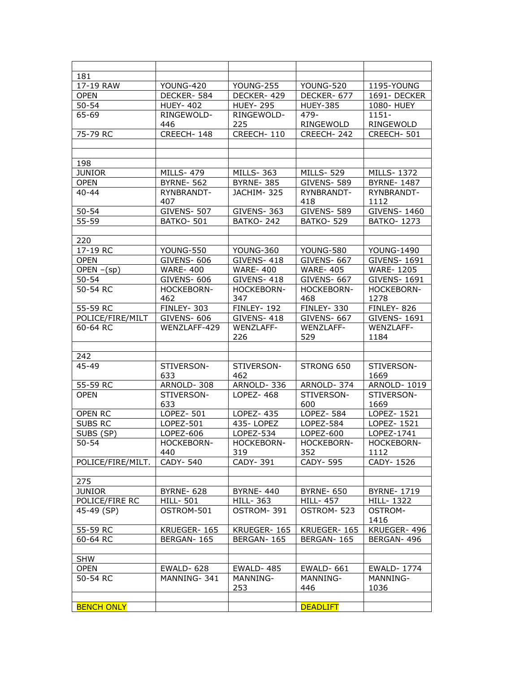| 181                     |                                 |                              |                              |                        |
|-------------------------|---------------------------------|------------------------------|------------------------------|------------------------|
| 17-19 RAW               | YOUNG-420                       | YOUNG-255                    | YOUNG-520                    | 1195-YOUNG             |
| <b>OPEN</b>             | DECKER-584                      | DECKER-429                   | DECKER-677                   | 1691-DECKER            |
| $50 - 54$               | <b>HUEY- 402</b>                | <b>HUEY- 295</b>             | <b>HUEY-385</b>              | 1080- HUEY             |
| 65-69                   | RINGEWOLD-                      | RINGEWOLD-                   | 479-                         | $1151 -$               |
|                         | 446                             | 225                          | RINGEWOLD                    | RINGEWOLD              |
| 75-79 RC                | CREECH-148                      | CREECH-110                   | CREECH-242                   | CREECH-501             |
|                         |                                 |                              |                              |                        |
|                         |                                 |                              |                              |                        |
| 198                     |                                 |                              |                              |                        |
| <b>JUNIOR</b>           | <b>MILLS-479</b>                | <b>MILLS-363</b>             | <b>MILLS-529</b>             | MILLS-1372             |
| <b>OPEN</b>             | <b>BYRNE-562</b>                | <b>BYRNE-385</b>             | <b>GIVENS-589</b>            | <b>BYRNE-1487</b>      |
| $40 - 44$               | RYNBRANDT-                      | JACHIM-325                   | RYNBRANDT-                   | RYNBRANDT-             |
|                         | 407                             |                              | 418                          | 1112                   |
| $50 - 54$               | <b>GIVENS- 507</b>              | <b>GIVENS-363</b>            | <b>GIVENS- 589</b>           | <b>GIVENS-1460</b>     |
| 55-59                   | <b>BATKO-501</b>                | <b>BATKO-242</b>             | <b>BATKO-529</b>             | <b>BATKO-1273</b>      |
|                         |                                 |                              |                              |                        |
| 220                     |                                 |                              |                              |                        |
| 17-19 RC                | YOUNG-550                       | YOUNG-360                    | YOUNG-580                    | <b>YOUNG-1490</b>      |
| <b>OPEN</b>             | GIVENS-606                      | GIVENS-418                   | GIVENS- 667                  | <b>GIVENS-1691</b>     |
| OPEN $-(sp)$            | <b>WARE-400</b>                 | <b>WARE-400</b>              | <b>WARE-405</b>              | <b>WARE-1205</b>       |
| $50 - 54$               | <b>GIVENS- 606</b>              | GIVENS-418                   | GIVENS- 667                  | GIVENS- 1691           |
| 50-54 RC                | HOCKEBORN-                      | HOCKEBORN-                   | HOCKEBORN-                   | HOCKEBORN-             |
|                         | 462                             | 347                          | 468                          | 1278                   |
| 55-59 RC                | FINLEY-303                      | <b>FINLEY-192</b>            | <b>FINLEY-330</b>            | <b>FINLEY- 826</b>     |
| POLICE/FIRE/MILT        | <b>GIVENS- 606</b>              | GIVENS-418                   | GIVENS- 667                  | <b>GIVENS-1691</b>     |
| 60-64 RC                | WENZLAFF-429                    | WENZLAFF-                    | WENZLAFF-                    | <b>WENZLAFF-</b>       |
|                         |                                 | 226                          | 529                          | 1184                   |
|                         |                                 |                              |                              |                        |
| 242                     |                                 |                              |                              |                        |
| 45-49                   | STIVERSON-                      | STIVERSON-                   | STRONG 650                   | STIVERSON-             |
|                         | 633                             | 462                          |                              | 1669                   |
| 55-59 RC                | ARNOLD-308                      | ARNOLD-336                   | ARNOLD-374                   | ARNOLD-1019            |
| <b>OPEN</b>             | STIVERSON-                      | LOPEZ-468                    | STIVERSON-                   | STIVERSON-             |
|                         | 633                             |                              | 600                          | 1669                   |
| OPEN RC                 | LOPEZ- 501                      | $LOPEZ - 435$                | LOPEZ- $584$                 | LOPEZ- 1521            |
| SUBS RC                 | LOPEZ-501                       | 435-LOPEZ                    | LOPEZ-584                    | LOPEZ- 1521            |
| SUBS (SP)               | LOPEZ-606                       | LOPEZ-534                    | LOPEZ-600                    | LOPEZ-1741             |
| $50 - 54$               | HOCKEBORN-                      | HOCKEBORN-                   | HOCKEBORN-                   | HOCKEBORN-             |
|                         | 440                             | 319                          | 352                          | 1112                   |
| POLICE/FIRE/MILT.       | CADY-540                        | CADY-391                     | CADY-595                     | CADY-1526              |
|                         |                                 |                              |                              |                        |
| 275                     |                                 |                              |                              |                        |
| <b>JUNIOR</b>           | <b>BYRNE- 628</b>               | <b>BYRNE-440</b>             | <b>BYRNE- 650</b>            | <b>BYRNE-1719</b>      |
| POLICE/FIRE RC          | HILL- 501                       | HILL- 363                    | <b>HILL-457</b>              | HILL-1322              |
| 45-49 (SP)              | OSTROM-501                      | OSTROM-391                   | OSTROM-523                   | <b>OSTROM-</b>         |
|                         |                                 |                              |                              | 1416                   |
| 55-59 RC                | KRUEGER-165                     | KRUEGER-165                  | KRUEGER-165                  | KRUEGER-496            |
| 60-64 RC                | BERGAN-165                      | BERGAN-165                   | BERGAN-165                   | BERGAN-496             |
|                         |                                 |                              |                              |                        |
| <b>SHW</b>              |                                 |                              |                              |                        |
| <b>OPEN</b><br>50-54 RC | <b>EWALD-628</b><br>MANNING-341 | <b>EWALD-485</b><br>MANNING- | <b>EWALD-661</b><br>MANNING- | EWALD-1774<br>MANNING- |
|                         |                                 | 253                          | 446                          | 1036                   |
|                         |                                 |                              |                              |                        |
| <b>BENCH ONLY</b>       |                                 |                              | <b>DEADLIFT</b>              |                        |
|                         |                                 |                              |                              |                        |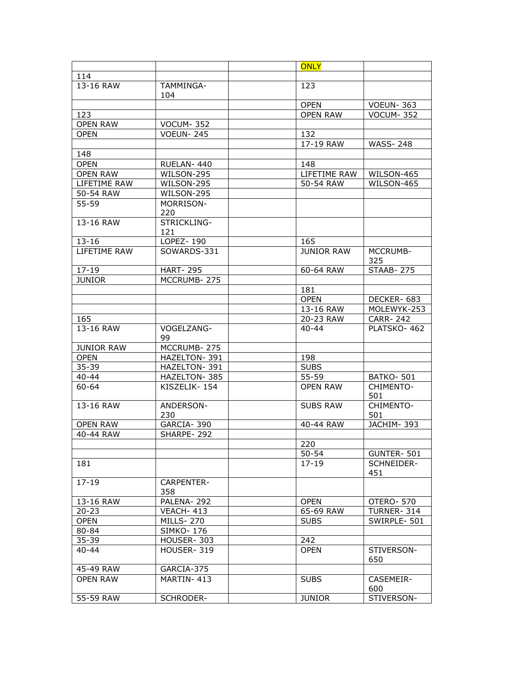|                   |                    | <b>ONLY</b>                      |                   |  |
|-------------------|--------------------|----------------------------------|-------------------|--|
| 114               |                    |                                  |                   |  |
| 13-16 RAW         | TAMMINGA-<br>104   | 123                              |                   |  |
|                   |                    | <b>OPEN</b>                      | <b>VOEUN-363</b>  |  |
| 123               |                    | <b>OPEN RAW</b>                  | <b>VOCUM-352</b>  |  |
| <b>OPEN RAW</b>   | <b>VOCUM-352</b>   |                                  |                   |  |
| <b>OPEN</b>       | <b>VOEUN-245</b>   | 132                              |                   |  |
|                   |                    | 17-19 RAW                        | <b>WASS-248</b>   |  |
| 148               |                    |                                  |                   |  |
| <b>OPEN</b>       | RUELAN-440         | 148                              |                   |  |
| <b>OPEN RAW</b>   | WILSON-295         | LIFETIME RAW                     | WILSON-465        |  |
| LIFETIME RAW      | WILSON-295         | 50-54 RAW                        | WILSON-465        |  |
| 50-54 RAW         | WILSON-295         |                                  |                   |  |
| 55-59             | MORRISON-<br>220   |                                  |                   |  |
| 13-16 RAW         | STRICKLING-<br>121 |                                  |                   |  |
| $13 - 16$         | LOPEZ-190          | 165                              |                   |  |
| LIFETIME RAW      | SOWARDS-331        | <b>JUNIOR RAW</b>                | MCCRUMB-<br>325   |  |
| $17 - 19$         | <b>HART-295</b>    | 60-64 RAW                        | <b>STAAB-275</b>  |  |
| <b>JUNIOR</b>     | MCCRUMB-275        |                                  |                   |  |
|                   |                    | 181                              |                   |  |
|                   |                    | <b>OPEN</b>                      | DECKER-683        |  |
|                   |                    | 13-16 RAW                        | MOLEWYK-253       |  |
| 165               |                    | 20-23 RAW                        | <b>CARR-242</b>   |  |
| 13-16 RAW         | VOGELZANG-<br>99   | 40-44                            | PLATSKO-462       |  |
| <b>JUNIOR RAW</b> | MCCRUMB-275        |                                  |                   |  |
| <b>OPEN</b>       | HAZELTON-391       | 198                              |                   |  |
| 35-39             | HAZELTON-391       | <b>SUBS</b>                      |                   |  |
| 40-44             | HAZELTON-385       | $55 - 59$                        | <b>BATKO-501</b>  |  |
| 60-64             | KISZELIK-154       | <b>OPEN RAW</b>                  | CHIMENTO-<br>501  |  |
| 13-16 RAW         | ANDERSON-<br>230   | <b>SUBS RAW</b>                  | CHIMENTO-<br>501  |  |
| <b>OPEN RAW</b>   | GARCIA-390         | 40-44 RAW                        | JACHIM-393        |  |
| 40-44 RAW         | SHARPE-292         |                                  |                   |  |
|                   |                    | 220                              |                   |  |
|                   |                    | 50-54                            | GUNTER-501        |  |
| 181               |                    | $17 - 19$                        | SCHNEIDER-<br>451 |  |
| $17 - 19$         | CARPENTER-<br>358  |                                  |                   |  |
| 13-16 RAW         | PALENA-292         | <b>OPEN</b>                      | OTERO-570         |  |
| $20 - 23$         | VEACH-413          | 65-69 RAW                        | TURNER-314        |  |
| <b>OPEN</b>       | <b>MILLS-270</b>   | <b>SUBS</b>                      | SWIRPLE-501       |  |
| 80-84             | <b>SIMKO-176</b>   |                                  |                   |  |
| $35 - 39$         | HOUSER-303         | 242                              |                   |  |
| $40 - 44$         | HOUSER-319         | <b>OPEN</b><br>STIVERSON-<br>650 |                   |  |
| 45-49 RAW         | GARCIA-375         |                                  |                   |  |
| <b>OPEN RAW</b>   | MARTIN-413         | <b>SUBS</b>                      | CASEMEIR-<br>600  |  |
| 55-59 RAW         | SCHRODER-          | <b>JUNIOR</b>                    | STIVERSON-        |  |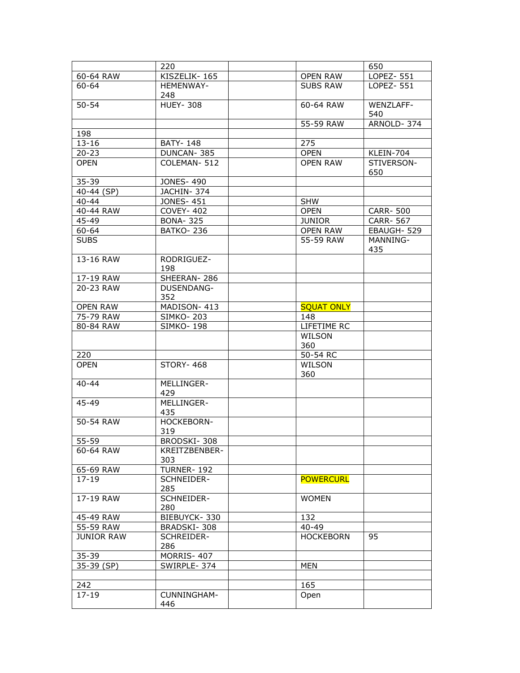|                   | 220                      |                               | 650               |
|-------------------|--------------------------|-------------------------------|-------------------|
| 60-64 RAW         | KISZELIK-165             | LOPEZ- 551<br><b>OPEN RAW</b> |                   |
| $60 - 64$         | HEMENWAY-<br>248         | LOPEZ- 551<br><b>SUBS RAW</b> |                   |
| $50 - 54$         | <b>HUEY-308</b>          | 60-64 RAW                     | WFN7I AFF-<br>540 |
|                   |                          | 55-59 RAW                     | ARNOLD-374        |
| 198               |                          |                               |                   |
| $13 - 16$         | <b>BATY-148</b>          | 275                           |                   |
| $20 - 23$         | DUNCAN-385               | <b>OPEN</b>                   | KLEIN-704         |
| <b>OPEN</b>       | COLEMAN-512              | <b>OPEN RAW</b>               | STIVERSON-<br>650 |
| $35 - 39$         | <b>JONES-490</b>         |                               |                   |
| 40-44 (SP)        | JACHIN-374               |                               |                   |
| $40 - 44$         | <b>JONES-451</b>         | <b>SHW</b>                    |                   |
| 40-44 RAW         | <b>COVEY-402</b>         | <b>OPEN</b>                   | <b>CARR-500</b>   |
| 45-49             | <b>BONA-325</b>          | <b>JUNIOR</b>                 | CARR- 567         |
| 60-64             | <b>BATKO-236</b>         | <b>OPEN RAW</b>               | EBAUGH-529        |
| <b>SUBS</b>       |                          | 55-59 RAW                     | MANNING-<br>435   |
| 13-16 RAW         | RODRIGUEZ-<br>198        |                               |                   |
| 17-19 RAW         | SHEERAN-286              |                               |                   |
| 20-23 RAW         | <b>DUSENDANG-</b><br>352 |                               |                   |
| <b>OPEN RAW</b>   | MADISON-413              | <b>SQUAT ONLY</b>             |                   |
| 75-79 RAW         | <b>SIMKO-203</b>         | 148                           |                   |
| 80-84 RAW         | <b>SIMKO-198</b>         | LIFETIME RC                   |                   |
|                   |                          | <b>WILSON</b><br>360          |                   |
| 220               |                          | 50-54 RC                      |                   |
| <b>OPEN</b>       | <b>STORY-468</b>         | WILSON<br>360                 |                   |
| $40 - 44$         | MELLINGER-<br>429        |                               |                   |
| $45 - 49$         | MELLINGER-<br>435        |                               |                   |
| 50-54 RAW         | HOCKEBORN-<br>319        |                               |                   |
| 55-59             | BRODSKI-308              |                               |                   |
| 60-64 RAW         | KREITZBENBER-<br>303     |                               |                   |
| 65-69 RAW         | <b>TURNER-192</b>        |                               |                   |
| $17 - 19$         | SCHNEIDER-<br>285        | <b>POWERCURL</b>              |                   |
| 17-19 RAW         | SCHNEIDER-<br>280        | <b>WOMEN</b>                  |                   |
| 45-49 RAW         | BIEBUYCK-330             | 132                           |                   |
| 55-59 RAW         | BRADSKI-308              | $40 - 49$                     |                   |
| <b>JUNIOR RAW</b> | SCHREIDER-<br>286        | <b>HOCKEBORN</b><br>95        |                   |
| $35 - 39$         | MORRIS-407               |                               |                   |
| 35-39 (SP)        | SWIRPLE-374              | MEN                           |                   |
|                   |                          |                               |                   |
| 242               |                          | 165                           |                   |
| $17 - 19$         | CUNNINGHAM-<br>446       | Open                          |                   |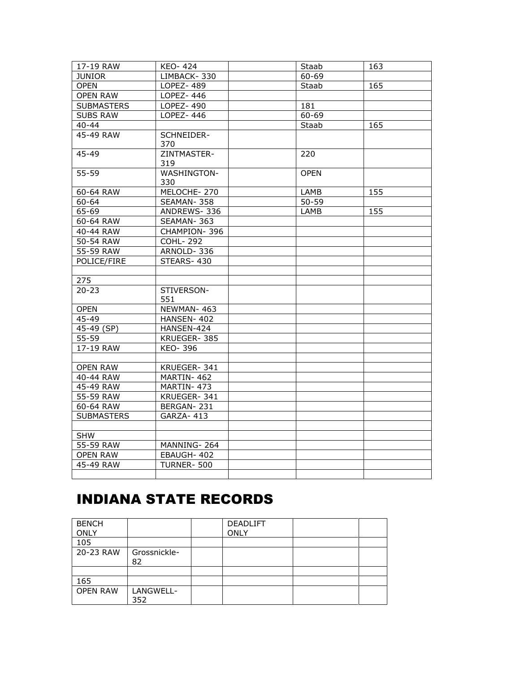| 17-19 RAW         | KEO-424                   | Staab       | 163 |
|-------------------|---------------------------|-------------|-----|
| <b>JUNIOR</b>     | LIMBACK-330               | 60-69       |     |
| <b>OPEN</b>       | <b>LOPEZ-489</b>          | Staab       | 165 |
| <b>OPEN RAW</b>   | LOPEZ-446                 |             |     |
| <b>SUBMASTERS</b> | LOPEZ-490                 | 181         |     |
| <b>SUBS RAW</b>   | LOPEZ-446                 | 60-69       |     |
| $40 - 44$         |                           | Staab       | 165 |
| 45-49 RAW         | SCHNEIDER-<br>370         |             |     |
| 45-49             | ZINTMASTER-<br>319        | 220         |     |
| 55-59             | <b>WASHINGTON-</b><br>330 | <b>OPEN</b> |     |
| 60-64 RAW         | MELOCHE-270               | LAMB        | 155 |
| 60-64             | SEAMAN-358                | $50 - 59$   |     |
| 65-69             | ANDREWS-336               | LAMB        | 155 |
| 60-64 RAW         | SEAMAN-363                |             |     |
| 40-44 RAW         | CHAMPION-396              |             |     |
| 50-54 RAW         | <b>COHL-292</b>           |             |     |
| 55-59 RAW         | ARNOLD-336                |             |     |
| POLICE/FIRE       | STEARS-430                |             |     |
|                   |                           |             |     |
| 275               |                           |             |     |
| $20 - 23$         | STIVERSON-<br>551         |             |     |
| <b>OPEN</b>       | NEWMAN-463                |             |     |
| 45-49             | HANSEN-402                |             |     |
| 45-49 (SP)        | HANSEN-424                |             |     |
| $55 - 59$         | KRUEGER-385               |             |     |
| 17-19 RAW         | KEO-396                   |             |     |
|                   |                           |             |     |
| <b>OPEN RAW</b>   | KRUEGER-341               |             |     |
| 40-44 RAW         | MARTIN-462                |             |     |
| 45-49 RAW         | MARTIN-473                |             |     |
| 55-59 RAW         | KRUEGER-341               |             |     |
| 60-64 RAW         | BERGAN-231                |             |     |
| <b>SUBMASTERS</b> | GARZA- 413                |             |     |
|                   |                           |             |     |
| <b>SHW</b>        |                           |             |     |
| 55-59 RAW         | MANNING-264               |             |     |
| <b>OPEN RAW</b>   | EBAUGH-402                |             |     |
| 45-49 RAW         | <b>TURNER-500</b>         |             |     |
|                   |                           |             |     |

## INDIANA STATE RECORDS

| <b>BENCH</b><br><b>ONLY</b> |                    | <b>DEADLIFT</b><br><b>ONLY</b> |  |
|-----------------------------|--------------------|--------------------------------|--|
| 105                         |                    |                                |  |
| 20-23 RAW                   | Grossnickle-<br>82 |                                |  |
|                             |                    |                                |  |
| 165                         |                    |                                |  |
| <b>OPEN RAW</b>             | LANGWELL-<br>352   |                                |  |